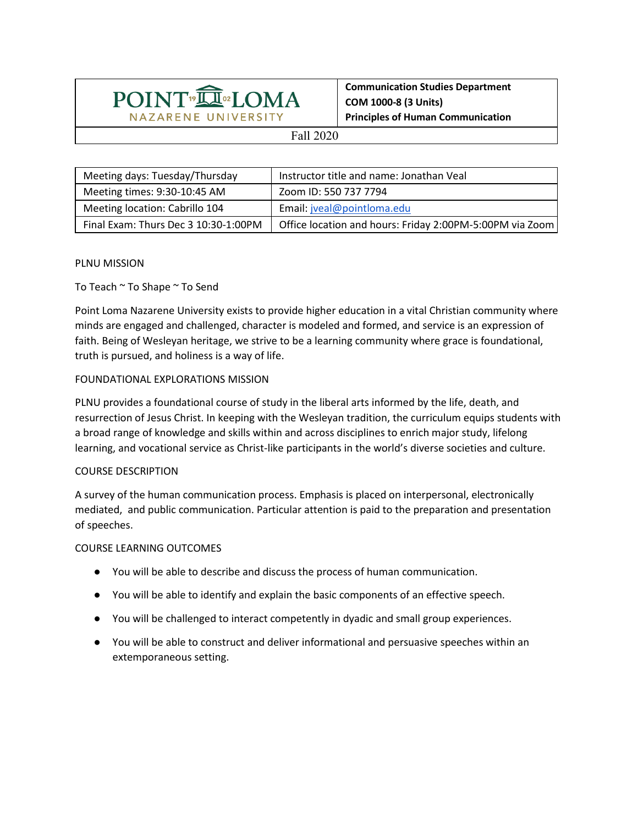

**Communication Studies Department COM 1000-8 (3 Units) Principles of Human Communication**

## Fall 2020

| Meeting days: Tuesday/Thursday       | Instructor title and name: Jonathan Veal                 |
|--------------------------------------|----------------------------------------------------------|
| Meeting times: 9:30-10:45 AM         | Zoom ID: 550 737 7794                                    |
| Meeting location: Cabrillo 104       | Email: jveal@pointloma.edu                               |
| Final Exam: Thurs Dec 3 10:30-1:00PM | Office location and hours: Friday 2:00PM-5:00PM via Zoom |

## PLNU MISSION

To Teach ~ To Shape ~ To Send

Point Loma Nazarene University exists to provide higher education in a vital Christian community where minds are engaged and challenged, character is modeled and formed, and service is an expression of faith. Being of Wesleyan heritage, we strive to be a learning community where grace is foundational, truth is pursued, and holiness is a way of life.

## FOUNDATIONAL EXPLORATIONS MISSION

PLNU provides a foundational course of study in the liberal arts informed by the life, death, and resurrection of Jesus Christ. In keeping with the Wesleyan tradition, the curriculum equips students with a broad range of knowledge and skills within and across disciplines to enrich major study, lifelong learning, and vocational service as Christ-like participants in the world's diverse societies and culture.

## COURSE DESCRIPTION

A survey of the human communication process. Emphasis is placed on interpersonal, electronically mediated, and public communication. Particular attention is paid to the preparation and presentation of speeches.

#### COURSE LEARNING OUTCOMES

- You will be able to describe and discuss the process of human communication.
- You will be able to identify and explain the basic components of an effective speech.
- You will be challenged to interact competently in dyadic and small group experiences.
- You will be able to construct and deliver informational and persuasive speeches within an extemporaneous setting.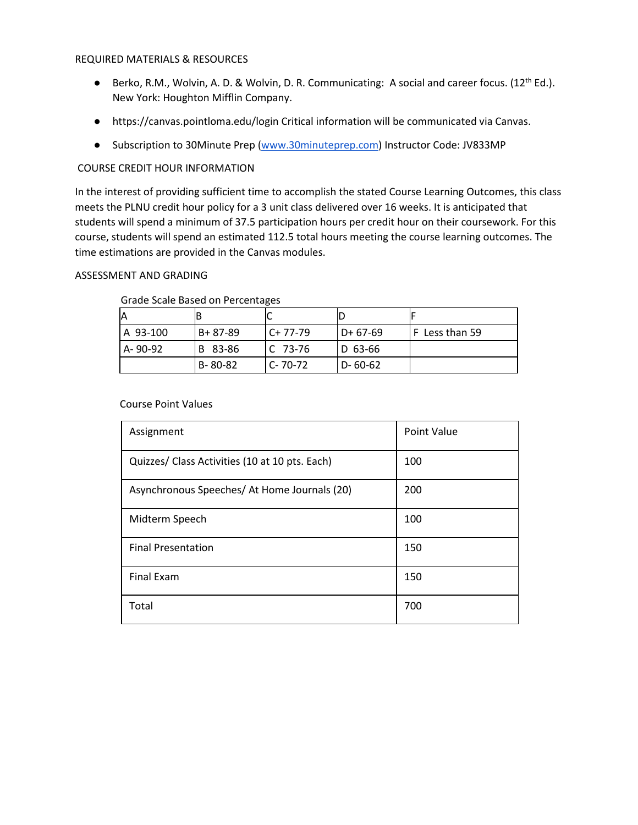#### REQUIRED MATERIALS & RESOURCES

- **•** Berko, R.M., Wolvin, A. D. & Wolvin, D. R. Communicating: A social and career focus. (12<sup>th</sup> Ed.). New York: Houghton Mifflin Company.
- https://canvas.pointloma.edu/login Critical information will be communicated via Canvas.
- Subscription to 30Minute Prep [\(www.30minuteprep.com\)](http://www.30minuteprep.com/) Instructor Code: JV833MP

# COURSE CREDIT HOUR INFORMATION

In the interest of providing sufficient time to accomplish the stated Course Learning Outcomes, this class meets the PLNU credit hour policy for a 3 unit class delivered over 16 weeks. It is anticipated that students will spend a minimum of 37.5 participation hours per credit hour on their coursework. For this course, students will spend an estimated 112.5 total hours meeting the course learning outcomes. The time estimations are provided in the Canvas modules.

# ASSESSMENT AND GRADING

|          | B             |               |            |                |
|----------|---------------|---------------|------------|----------------|
| A 93-100 | $B + 87 - 89$ | $C+77-79$     | l D+ 67-69 | F Less than 59 |
| A-90-92  | B 83-86       | $C$ 73-76     | D 63-66    |                |
|          | B-80-82       | $C - 70 - 72$ | D-60-62    |                |

#### Grade Scale Based on Percentages

#### Course Point Values

| Assignment                                     | <b>Point Value</b> |
|------------------------------------------------|--------------------|
| Quizzes/ Class Activities (10 at 10 pts. Each) | 100                |
| Asynchronous Speeches/ At Home Journals (20)   | 200                |
| Midterm Speech                                 | 100                |
| <b>Final Presentation</b>                      | 150                |
| <b>Final Exam</b>                              | 150                |
| Total                                          | 700                |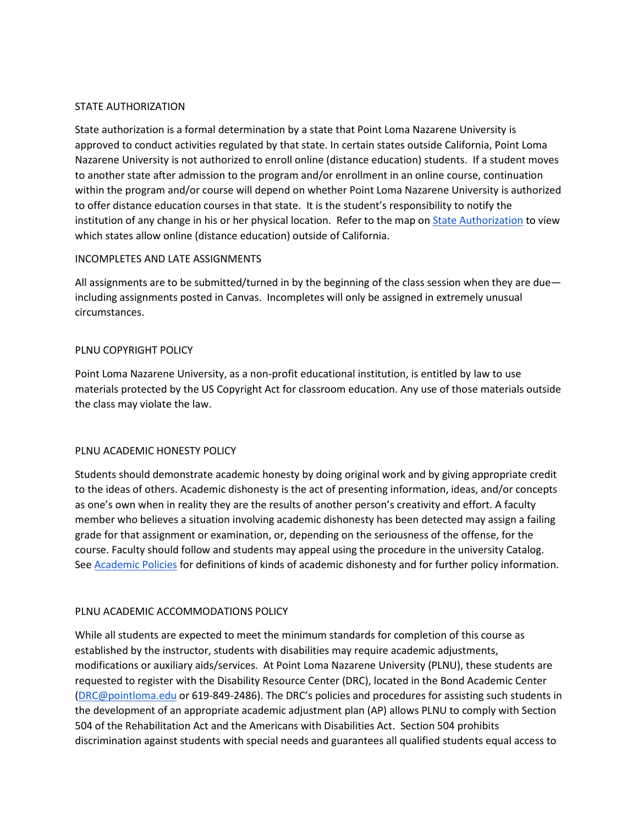# STATE AUTHORIZATION

State authorization is a formal determination by a state that Point Loma Nazarene University is approved to conduct activities regulated by that state. In certain states outside California, Point Loma Nazarene University is not authorized to enroll online (distance education) students. If a student moves to another state after admission to the program and/or enrollment in an online course, continuation within the program and/or course will depend on whether Point Loma Nazarene University is authorized to offer distance education courses in that state. It is the student's responsibility to notify the institution of any change in his or her physical location. Refer to the map on **State Authorization** to view which states allow online (distance education) outside of California.

## INCOMPLETES AND LATE ASSIGNMENTS

All assignments are to be submitted/turned in by the beginning of the class session when they are due including assignments posted in Canvas. Incompletes will only be assigned in extremely unusual circumstances.

## PLNU COPYRIGHT POLICY

Point Loma Nazarene University, as a non-profit educational institution, is entitled by law to use materials protected by the US Copyright Act for classroom education. Any use of those materials outside the class may violate the law.

#### PLNU ACADEMIC HONESTY POLICY

Students should demonstrate academic honesty by doing original work and by giving appropriate credit to the ideas of others. Academic dishonesty is the act of presenting information, ideas, and/or concepts as one's own when in reality they are the results of another person's creativity and effort. A faculty member who believes a situation involving academic dishonesty has been detected may assign a failing grade for that assignment or examination, or, depending on the seriousness of the offense, for the course. Faculty should follow and students may appeal using the procedure in the university Catalog. Se[e Academic Policies](https://catalog.pointloma.edu/content.php?catoid=41&navoid=2435#Academic_Honesty) for definitions of kinds of academic dishonesty and for further policy information.

# PLNU ACADEMIC ACCOMMODATIONS POLICY

While all students are expected to meet the minimum standards for completion of this course as established by the instructor, students with disabilities may require academic adjustments, modifications or auxiliary aids/services. At Point Loma Nazarene University (PLNU), these students are requested to register with the Disability Resource Center (DRC), located in the Bond Academic Center [\(DRC@pointloma.edu](mailto:DRC@pointloma.edu) or 619-849-2486). The DRC's policies and procedures for assisting such students in the development of an appropriate academic adjustment plan (AP) allows PLNU to comply with Section 504 of the Rehabilitation Act and the Americans with Disabilities Act. Section 504 prohibits discrimination against students with special needs and guarantees all qualified students equal access to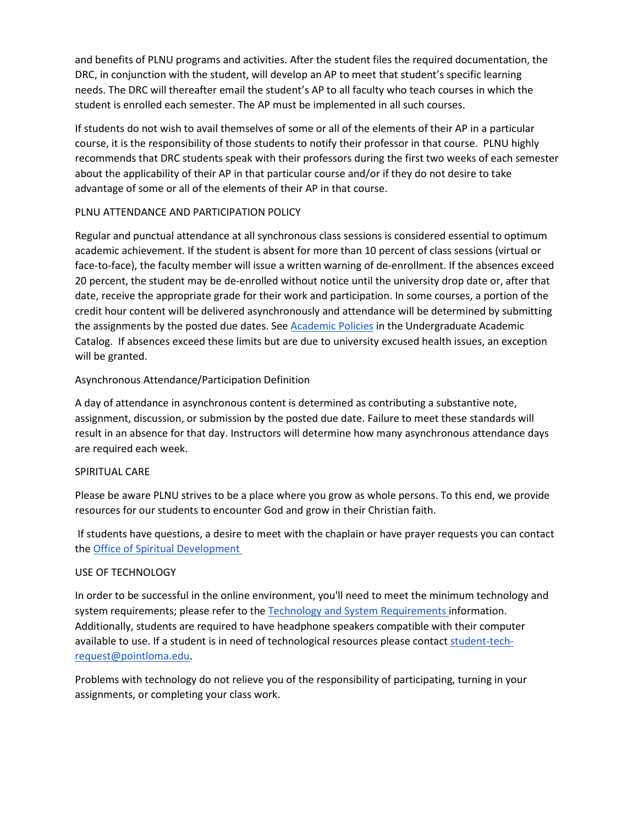and benefits of PLNU programs and activities. After the student files the required documentation, the DRC, in conjunction with the student, will develop an AP to meet that student's specific learning needs. The DRC will thereafter email the student's AP to all faculty who teach courses in which the student is enrolled each semester. The AP must be implemented in all such courses.

If students do not wish to avail themselves of some or all of the elements of their AP in a particular course, it is the responsibility of those students to notify their professor in that course. PLNU highly recommends that DRC students speak with their professors during the first two weeks of each semester about the applicability of their AP in that particular course and/or if they do not desire to take advantage of some or all of the elements of their AP in that course.

# PLNU ATTENDANCE AND PARTICIPATION POLICY

Regular and punctual attendance at all synchronous class sessions is considered essential to optimum academic achievement. If the student is absent for more than 10 percent of class sessions (virtual or face-to-face), the faculty member will issue a written warning of de-enrollment. If the absences exceed 20 percent, the student may be de-enrolled without notice until the university drop date or, after that date, receive the appropriate grade for their work and participation. In some courses, a portion of the credit hour content will be delivered asynchronously and attendance will be determined by submitting the assignments by the posted due dates. See [Academic Policies](https://catalog.pointloma.edu/content.php?catoid=46&navoid=2650#Class_Attendance) in the Undergraduate Academic Catalog. If absences exceed these limits but are due to university excused health issues, an exception will be granted.

# Asynchronous Attendance/Participation Definition

A day of attendance in asynchronous content is determined as contributing a substantive note, assignment, discussion, or submission by the posted due date. Failure to meet these standards will result in an absence for that day. Instructors will determine how many asynchronous attendance days are required each week.

# SPIRITUAL CARE

Please be aware PLNU strives to be a place where you grow as whole persons. To this end, we provide resources for our students to encounter God and grow in their Christian faith.

If students have questions, a desire to meet with the chaplain or have prayer requests you can contact the [Office of Spiritual Development](https://www.pointloma.edu/offices/spiritual-development)

# USE OF TECHNOLOGY

In order to be successful in the online environment, you'll need to meet the minimum technology and system requirements; please refer to the [Technology and System Requirements i](https://help.pointloma.edu/TDClient/1808/Portal/KB/ArticleDet?ID=108349)nformation. Additionally, students are required to have headphone speakers compatible with their computer available to use. If a student is in need of technological resources please contact [student-tech](mailto:student-tech-request@pointloma.edu)[request@pointloma.edu.](mailto:student-tech-request@pointloma.edu)

Problems with technology do not relieve you of the responsibility of participating, turning in your assignments, or completing your class work.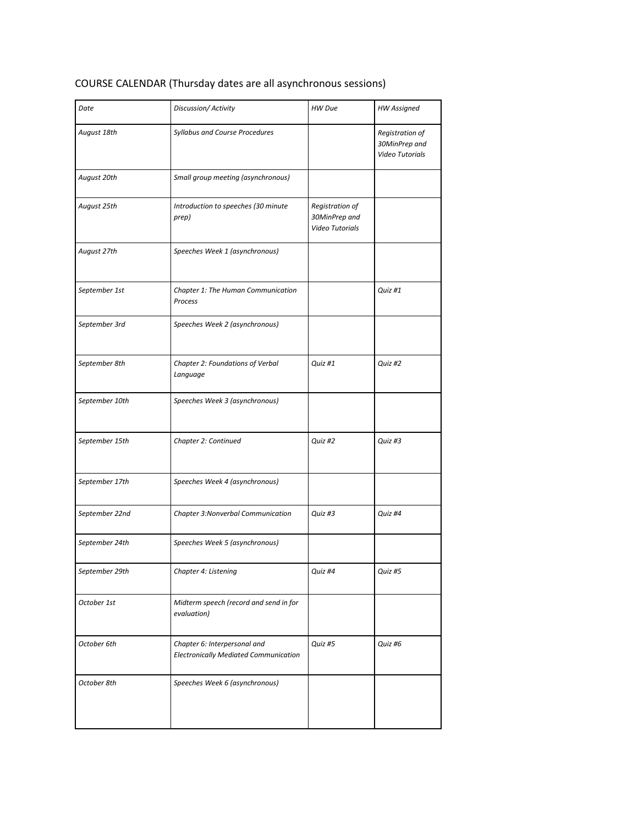# COURSE CALENDAR (Thursday dates are all asynchronous sessions)

| Date           | Discussion/Activity                                                          | HW Due                                              | <b>HW Assigned</b>                                         |
|----------------|------------------------------------------------------------------------------|-----------------------------------------------------|------------------------------------------------------------|
| August 18th    | Syllabus and Course Procedures                                               |                                                     | Registration of<br>30MinPrep and<br><b>Video Tutorials</b> |
| August 20th    | Small group meeting (asynchronous)                                           |                                                     |                                                            |
| August 25th    | Introduction to speeches (30 minute<br>prep)                                 | Registration of<br>30MinPrep and<br>Video Tutorials |                                                            |
| August 27th    | Speeches Week 1 (asynchronous)                                               |                                                     |                                                            |
| September 1st  | Chapter 1: The Human Communication<br>Process                                |                                                     | Quiz #1                                                    |
| September 3rd  | Speeches Week 2 (asynchronous)                                               |                                                     |                                                            |
| September 8th  | Chapter 2: Foundations of Verbal<br>Language                                 | Quiz #1                                             | Quiz #2                                                    |
| September 10th | Speeches Week 3 (asynchronous)                                               |                                                     |                                                            |
| September 15th | Chapter 2: Continued                                                         | Quiz #2                                             | Quiz #3                                                    |
| September 17th | Speeches Week 4 (asynchronous)                                               |                                                     |                                                            |
| September 22nd | Chapter 3: Nonverbal Communication                                           | Quiz #3                                             | Quiz #4                                                    |
| September 24th | Speeches Week 5 (asynchronous)                                               |                                                     |                                                            |
| September 29th | Chapter 4: Listening                                                         | Quiz #4                                             | Quiz #5                                                    |
| October 1st    | Midterm speech (record and send in for<br>evaluation)                        |                                                     |                                                            |
| October 6th    | Chapter 6: Interpersonal and<br><b>Electronically Mediated Communication</b> | Quiz #5                                             | Quiz #6                                                    |
| October 8th    | Speeches Week 6 (asynchronous)                                               |                                                     |                                                            |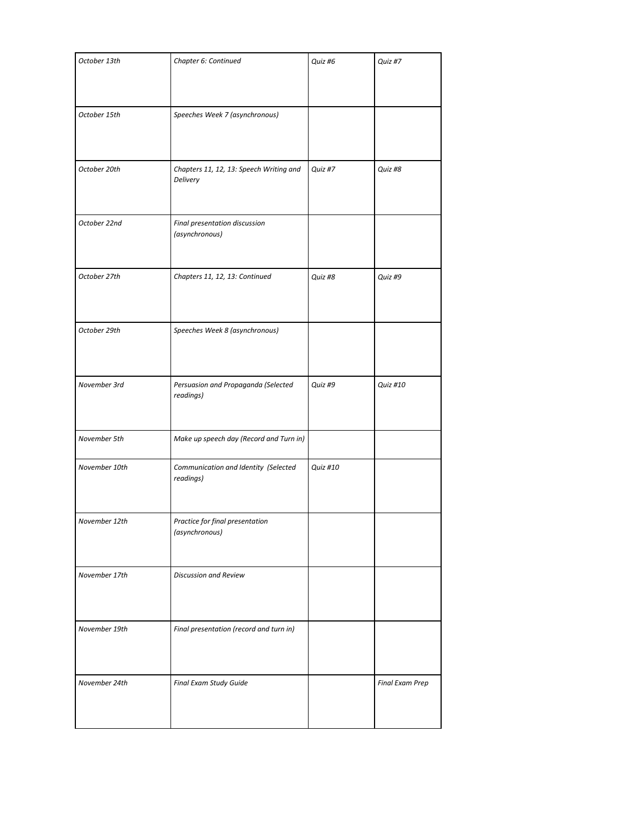| October 13th  | Chapter 6: Continued                                | Quiz #6  | Quiz #7                |
|---------------|-----------------------------------------------------|----------|------------------------|
| October 15th  | Speeches Week 7 (asynchronous)                      |          |                        |
| October 20th  | Chapters 11, 12, 13: Speech Writing and<br>Delivery | Quiz #7  | Quiz #8                |
| October 22nd  | Final presentation discussion<br>(asynchronous)     |          |                        |
| October 27th  | Chapters 11, 12, 13: Continued                      | Quiz #8  | Quiz #9                |
| October 29th  | Speeches Week 8 (asynchronous)                      |          |                        |
| November 3rd  | Persuasion and Propaganda (Selected<br>readings)    | Quiz #9  | Quiz #10               |
| November 5th  | Make up speech day (Record and Turn in)             |          |                        |
| November 10th | Communication and Identity (Selected<br>readings)   | Quiz #10 |                        |
| November 12th | Practice for final presentation<br>(asynchronous)   |          |                        |
| November 17th | Discussion and Review                               |          |                        |
| November 19th | Final presentation (record and turn in)             |          |                        |
| November 24th | Final Exam Study Guide                              |          | <b>Final Exam Prep</b> |